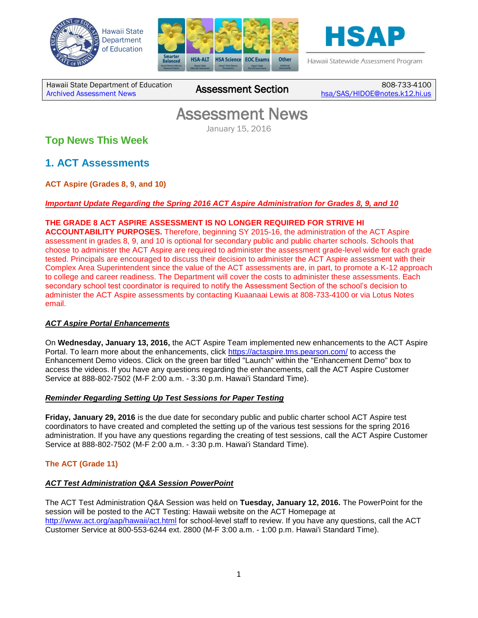





Hawaii Statewide Assessment Program

Hawaii State Department of Education **Assessment News** Assessment Section

808-733-4100 [hsa/SAS/HIDOE@notes.k12.hi.us](mailto:hsa/SAS/HIDOE@notes.k12.hi.us)

# Assessment News

January 15, 2016

## **Top News This Week**

**1. ACT Assessments**

**ACT Aspire (Grades 8, 9, and 10)**

### *Important Update Regarding the Spring 2016 ACT Aspire Administration for Grades 8, 9, and 10*

### **THE GRADE 8 ACT ASPIRE ASSESSMENT IS NO LONGER REQUIRED FOR STRIVE HI**

**ACCOUNTABILITY PURPOSES.** Therefore, beginning SY 2015-16, the administration of the ACT Aspire assessment in grades 8, 9, and 10 is optional for secondary public and public charter schools. Schools that choose to administer the ACT Aspire are required to administer the assessment grade-level wide for each grade tested. Principals are encouraged to discuss their decision to administer the ACT Aspire assessment with their Complex Area Superintendent since the value of the ACT assessments are, in part, to promote a K-12 approach to college and career readiness. The Department will cover the costs to administer these assessments. Each secondary school test coordinator is required to notify the Assessment Section of the school's decision to administer the ACT Aspire assessments by contacting Kuaanaai Lewis at 808-733-4100 or via Lotus Notes email.

### *ACT Aspire Portal Enhancements*

On **Wednesday, January 13, 2016,** the ACT Aspire Team implemented new enhancements to the ACT Aspire Portal. To learn more about the enhancements, click<https://actaspire.tms.pearson.com/> to access the Enhancement Demo videos. Click on the green bar titled "Launch" within the "Enhancement Demo" box to access the videos. If you have any questions regarding the enhancements, call the ACT Aspire Customer Service at 888-802-7502 (M-F 2:00 a.m. - 3:30 p.m. Hawai'i Standard Time).

#### *Reminder Regarding Setting Up Test Sessions for Paper Testing*

**Friday, January 29, 2016** is the due date for secondary public and public charter school ACT Aspire test coordinators to have created and completed the setting up of the various test sessions for the spring 2016 administration. If you have any questions regarding the creating of test sessions, call the ACT Aspire Customer Service at 888-802-7502 (M-F 2:00 a.m. - 3:30 p.m. Hawai'i Standard Time).

### **The ACT (Grade 11)**

### *ACT Test Administration Q&A Session PowerPoint*

The ACT Test Administration Q&A Session was held on **Tuesday, January 12, 2016.** The PowerPoint for the session will be posted to the ACT Testing: Hawaii website on the ACT Homepage at <http://www.act.org/aap/hawaii/act.html> for school-level staff to review. If you have any questions, call the ACT Customer Service at 800-553-6244 ext. 2800 (M-F 3:00 a.m. - 1:00 p.m. Hawai'i Standard Time).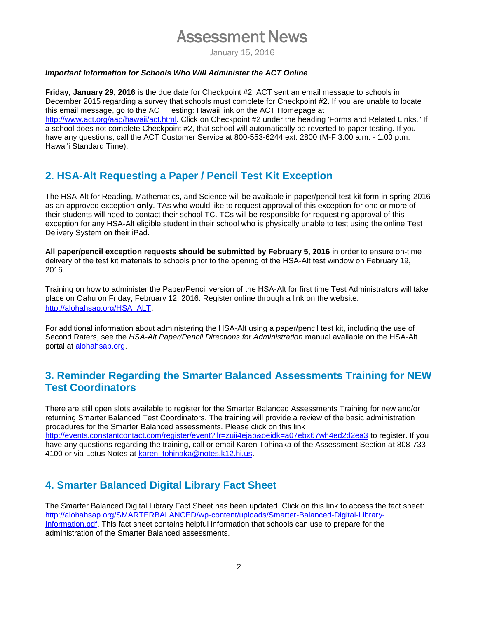## Assessment News

January 15, 2016

#### *Important Information for Schools Who Will Administer the ACT Online*

**Friday, January 29, 2016** is the due date for Checkpoint #2. ACT sent an email message to schools in December 2015 regarding a survey that schools must complete for Checkpoint #2. If you are unable to locate this email message, go to the ACT Testing: Hawaii link on the ACT Homepage at [http://www.act.org/aap/hawaii/act.html.](http://www.act.org/aap/hawaii/act.html) Click on Checkpoint #2 under the heading 'Forms and Related Links." If a school does not complete Checkpoint #2, that school will automatically be reverted to paper testing. If you have any questions, call the ACT Customer Service at 800-553-6244 ext. 2800 (M-F 3:00 a.m. - 1:00 p.m. Hawai'i Standard Time).

## **2. HSA-Alt Requesting a Paper / Pencil Test Kit Exception**

The HSA-Alt for Reading, Mathematics, and Science will be available in paper/pencil test kit form in spring 2016 as an approved exception **only**. TAs who would like to request approval of this exception for one or more of their students will need to contact their school TC. TCs will be responsible for requesting approval of this exception for any HSA-Alt eligible student in their school who is physically unable to test using the online Test Delivery System on their iPad.

**All paper/pencil exception requests should be submitted by February 5, 2016** in order to ensure on-time delivery of the test kit materials to schools prior to the opening of the HSA-Alt test window on February 19, 2016.

Training on how to administer the Paper/Pencil version of the HSA-Alt for first time Test Administrators will take place on Oahu on Friday, February 12, 2016. Register online through a link on the website: [http://alohahsap.org/HSA\\_ALT](http://alohahsap.org/HSA_ALT).

For additional information about administering the HSA-Alt using a paper/pencil test kit, including the use of Second Raters, see the *HSA-Alt Paper/Pencil Directions for Administration* manual available on the HSA-Alt portal at [alohahsap.org.](http://alohahsap.org/) 

## **3. Reminder Regarding the Smarter Balanced Assessments Training for NEW Test Coordinators**

There are still open slots available to register for the Smarter Balanced Assessments Training for new and/or returning Smarter Balanced Test Coordinators. The training will provide a review of the basic administration procedures for the Smarter Balanced assessments. Please click on this link <http://events.constantcontact.com/register/event?llr=zuii4ejab&oeidk=a07ebx67wh4ed2d2ea3> to register. If you have any questions regarding the training, call or email Karen Tohinaka of the Assessment Section at 808-733- 4100 or via Lotus Notes at [karen\\_tohinaka@notes.k12.hi.us.](mailto:karen_tohinaka@notes.k12.hi.us)

## **4. Smarter Balanced Digital Library Fact Sheet**

The Smarter Balanced Digital Library Fact Sheet has been updated. Click on this link to access the fact sheet: [http://alohahsap.org/SMARTERBALANCED/wp-content/uploads/Smarter-Balanced-Digital-Library-](http://alohahsap.org/SMARTERBALANCED/wp-content/uploads/Smarter-Balanced-Digital-Library-Information.pdf)[Information.pdf.](http://alohahsap.org/SMARTERBALANCED/wp-content/uploads/Smarter-Balanced-Digital-Library-Information.pdf) This fact sheet contains helpful information that schools can use to prepare for the administration of the Smarter Balanced assessments.